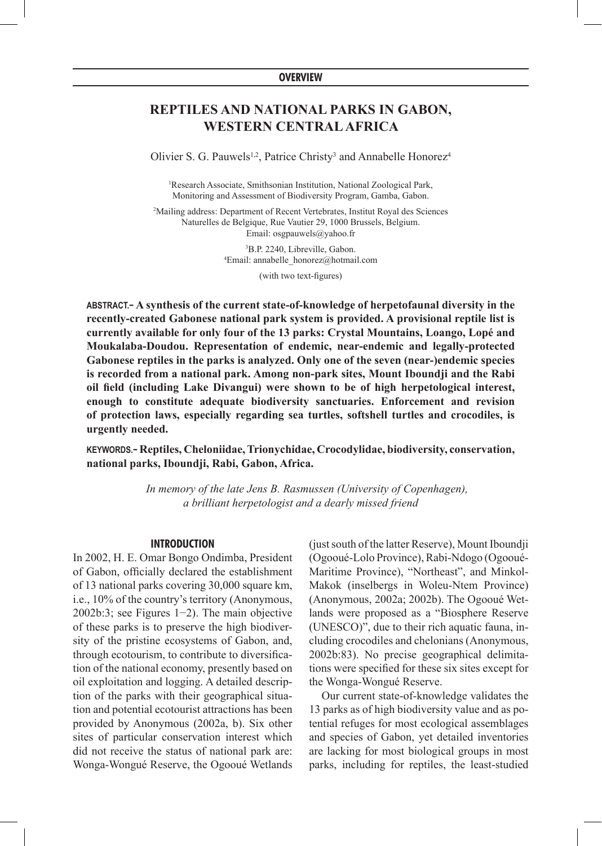## **OVERVIEW**

# **Reptiles and national parks in Gabon, Western Central Africa**

Olivier S. G. Pauwels<sup>1,2</sup>, Patrice Christy<sup>3</sup> and Annabelle Honorez<sup>4</sup>

1 Research Associate, Smithsonian Institution, National Zoological Park, Monitoring and Assessment of Biodiversity Program, Gamba, Gabon.

2 Mailing address: Department of Recent Vertebrates, Institut Royal des Sciences Naturelles de Belgique, Rue Vautier 29, 1000 Brussels, Belgium. Email: osgpauwels@yahoo.fr

> 3 B.P. 2240, Libreville, Gabon. 4 Email: annabelle\_honorez@hotmail.com

> > (with two text-figures)

**ABSTRACT.− A synthesis of the current state-of-knowledge of herpetofaunal diversity in the recently-created Gabonese national park system is provided. A provisional reptile list is currently available for only four of the 13 parks: Crystal Mountains, Loango, Lopé and Moukalaba-Doudou. Representation of endemic, near-endemic and legally-protected Gabonese reptiles in the parks is analyzed. Only one of the seven (near-)endemic species is recorded from a national park. Among non-park sites, Mount Iboundji and the Rabi oil field (including Lake Divangui) were shown to be of high herpetological interest, enough to constitute adequate biodiversity sanctuaries. Enforcement and revision of protection laws, especially regarding sea turtles, softshell turtles and crocodiles, is urgently needed.** 

**KEYWORDS.− Reptiles, Cheloniidae, Trionychidae, Crocodylidae, biodiversity, conservation, national parks, Iboundji, Rabi, Gabon, Africa.**

> *In memory of the late Jens B. Rasmussen (University of Copenhagen), a brilliant herpetologist and a dearly missed friend*

#### **INTRODUCTION**

In 2002, H. E. Omar Bongo Ondimba, President of Gabon, officially declared the establishment of 13 national parks covering 30,000 square km, i.e., 10% of the country's territory (Anonymous, 2002b:3; see Figures 1−2). The main objective of these parks is to preserve the high biodiversity of the pristine ecosystems of Gabon, and, through ecotourism, to contribute to diversification of the national economy, presently based on oil exploitation and logging. A detailed description of the parks with their geographical situation and potential ecotourist attractions has been provided by Anonymous (2002a, b). Six other sites of particular conservation interest which did not receive the status of national park are: Wonga-Wongué Reserve, the Ogooué Wetlands

(just south of the latter Reserve), Mount Iboundji (Ogooué-Lolo Province), Rabi-Ndogo (Ogooué-Maritime Province), "Northeast", and Minkol-Makok (inselbergs in Woleu-Ntem Province) (Anonymous, 2002a; 2002b). The Ogooué Wetlands were proposed as a "Biosphere Reserve (UNESCO)", due to their rich aquatic fauna, including crocodiles and chelonians (Anonymous, 2002b:83). No precise geographical delimitations were specified for these six sites except for the Wonga-Wongué Reserve.

Our current state-of-knowledge validates the 13 parks as of high biodiversity value and as potential refuges for most ecological assemblages and species of Gabon, yet detailed inventories are lacking for most biological groups in most parks, including for reptiles, the least-studied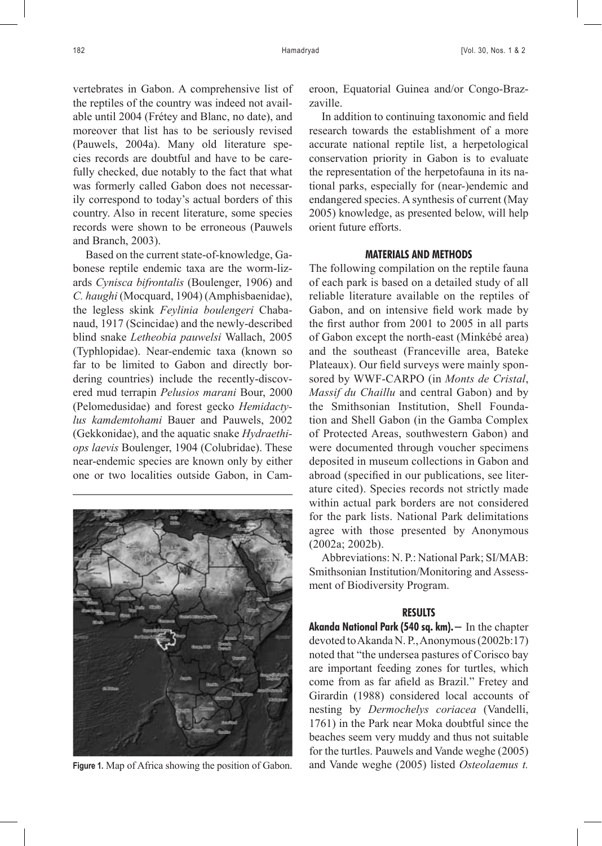vertebrates in Gabon. A comprehensive list of the reptiles of the country was indeed not available until 2004 (Frétey and Blanc, no date), and moreover that list has to be seriously revised (Pauwels, 2004a). Many old literature species records are doubtful and have to be carefully checked, due notably to the fact that what was formerly called Gabon does not necessarily correspond to today's actual borders of this country. Also in recent literature, some species records were shown to be erroneous (Pauwels and Branch, 2003).

Based on the current state-of-knowledge, Gabonese reptile endemic taxa are the worm-lizards *Cynisca bifrontalis* (Boulenger, 1906) and *C. haughi* (Mocquard, 1904) (Amphisbaenidae), the legless skink *Feylinia boulengeri* Chabanaud, 1917 (Scincidae) and the newly-described blind snake *Letheobia pauwelsi* Wallach, 2005 (Typhlopidae). Near-endemic taxa (known so far to be limited to Gabon and directly bordering countries) include the recently-discovered mud terrapin *Pelusios marani* Bour, 2000 (Pelomedusidae) and forest gecko *Hemidactylus kamdemtohami* Bauer and Pauwels, 2002 (Gekkonidae), and the aquatic snake *Hydraethiops laevis* Boulenger, 1904 (Colubridae). These near-endemic species are known only by either one or two localities outside Gabon, in Cam-



eroon, Equatorial Guinea and/or Congo-Brazzaville.

In addition to continuing taxonomic and field research towards the establishment of a more accurate national reptile list, a herpetological conservation priority in Gabon is to evaluate the representation of the herpetofauna in its national parks, especially for (near-)endemic and endangered species. A synthesis of current (May 2005) knowledge, as presented below, will help orient future efforts.

# **MATERIALS AND METHODS**

The following compilation on the reptile fauna of each park is based on a detailed study of all reliable literature available on the reptiles of Gabon, and on intensive field work made by the first author from 2001 to 2005 in all parts of Gabon except the north-east (Minkébé area) and the southeast (Franceville area, Bateke Plateaux). Our field surveys were mainly sponsored by WWF-CARPO (in *Monts de Cristal*, *Massif du Chaillu* and central Gabon) and by the Smithsonian Institution, Shell Foundation and Shell Gabon (in the Gamba Complex of Protected Areas, southwestern Gabon) and were documented through voucher specimens deposited in museum collections in Gabon and abroad (specified in our publications, see literature cited). Species records not strictly made within actual park borders are not considered for the park lists. National Park delimitations agree with those presented by Anonymous (2002a; 2002b).

Abbreviations: N. P.: National Park; SI/MAB: Smithsonian Institution/Monitoring and Assessment of Biodiversity Program.

#### **RESULTS**

**Akanda National Park (540 sq. km).−** In the chapter devoted to Akanda N. P., Anonymous (2002b:17) noted that "the undersea pastures of Corisco bay are important feeding zones for turtles, which come from as far afield as Brazil." Fretey and Girardin (1988) considered local accounts of nesting by *Dermochelys coriacea* (Vandelli, 1761) in the Park near Moka doubtful since the beaches seem very muddy and thus not suitable for the turtles. Pauwels and Vande weghe (2005) **Figure 1.** Map of Africa showing the position of Gabon. and Vande weghe (2005) listed *Osteolaemus t.*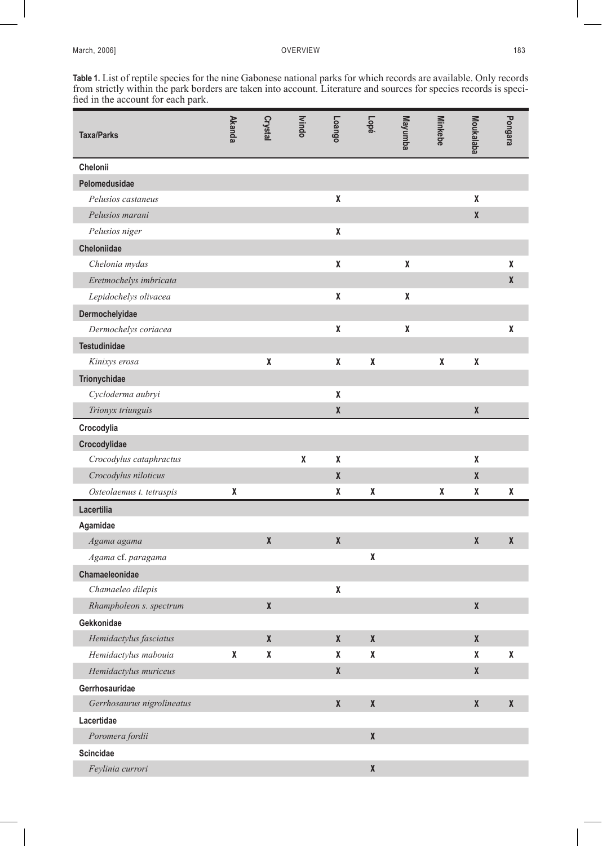**Table 1.** List of reptile species for the nine Gabonese national parks for which records are available. Only records from strictly within the park borders are taken into account. Literature and sources for species records is specified in the account for each park.

| <b>Taxa/Parks</b>          | <b>Akanda</b> | Crystal      | <b>Nindo</b> | Loango       | Lopé               | Mayunba | <b>Minkebe</b> | Moukalaba    | Pongara      |
|----------------------------|---------------|--------------|--------------|--------------|--------------------|---------|----------------|--------------|--------------|
| Chelonii                   |               |              |              |              |                    |         |                |              |              |
| Pelomedusidae              |               |              |              |              |                    |         |                |              |              |
| Pelusios castaneus         |               |              |              | X            |                    |         |                | X            |              |
| Pelusios marani            |               |              |              |              |                    |         |                | $\pmb{\chi}$ |              |
| Pelusios niger             |               |              |              | χ            |                    |         |                |              |              |
| Cheloniidae                |               |              |              |              |                    |         |                |              |              |
| Chelonia mydas             |               |              |              | χ            |                    | X       |                |              | X            |
| Eretmochelys imbricata     |               |              |              |              |                    |         |                |              | X            |
| Lepidochelys olivacea      |               |              |              | X            |                    | X       |                |              |              |
| Dermochelyidae             |               |              |              |              |                    |         |                |              |              |
| Dermochelys coriacea       |               |              |              | χ            |                    | X       |                |              | X            |
| <b>Testudinidae</b>        |               |              |              |              |                    |         |                |              |              |
| Kinixys erosa              |               | χ            |              | χ            | X                  |         | χ              | X            |              |
| Trionychidae               |               |              |              |              |                    |         |                |              |              |
| Cycloderma aubryi          |               |              |              | χ            |                    |         |                |              |              |
| Trionyx triunguis          |               |              |              | $\pmb{\chi}$ |                    |         |                | $\pmb{\chi}$ |              |
| Crocodylia                 |               |              |              |              |                    |         |                |              |              |
| Crocodylidae               |               |              |              |              |                    |         |                |              |              |
| Crocodylus cataphractus    |               |              | χ            | X            |                    |         |                | X            |              |
| Crocodylus niloticus       |               |              |              | $\pmb{\chi}$ |                    |         |                | X            |              |
| Osteolaemus t. tetraspis   | χ             |              |              | χ            | χ                  |         | χ              | χ            | X            |
| Lacertilia                 |               |              |              |              |                    |         |                |              |              |
| Agamidae                   |               |              |              |              |                    |         |                |              |              |
| Agama agama                |               | $\pmb{\chi}$ |              | $\mathbf x$  |                    |         |                | $\pmb{\chi}$ | $\mathbf x$  |
| Agama cf. paragama         |               |              |              |              | χ                  |         |                |              |              |
| Chamaeleonidae             |               |              |              |              |                    |         |                |              |              |
| Chamaeleo dilepis          |               |              |              | χ            |                    |         |                |              |              |
| Rhampholeon s. spectrum    |               | $\pmb{\chi}$ |              |              |                    |         |                | $\pmb{\chi}$ |              |
| Gekkonidae                 |               |              |              |              |                    |         |                |              |              |
| Hemidactylus fasciatus     |               | $\pmb{\chi}$ |              | $\pmb{\chi}$ | $\pmb{\chi}$       |         |                | $\pmb{\chi}$ |              |
| Hemidactylus mabouia       | χ             | χ            |              | χ            | χ                  |         |                | χ            | χ            |
| Hemidactylus muriceus      |               |              |              | $\pmb{\chi}$ |                    |         |                | $\pmb{\chi}$ |              |
| Gerrhosauridae             |               |              |              |              |                    |         |                |              |              |
| Gerrhosaurus nigrolineatus |               |              |              | $\pmb{\chi}$ | $\pmb{\mathsf{X}}$ |         |                | $\pmb{\chi}$ | $\pmb{\chi}$ |
| Lacertidae                 |               |              |              |              |                    |         |                |              |              |
| Poromera fordii            |               |              |              |              | $\pmb{\mathsf{X}}$ |         |                |              |              |
| <b>Scincidae</b>           |               |              |              |              |                    |         |                |              |              |
| Feylinia currori           |               |              |              |              | $\pmb{\mathsf{X}}$ |         |                |              |              |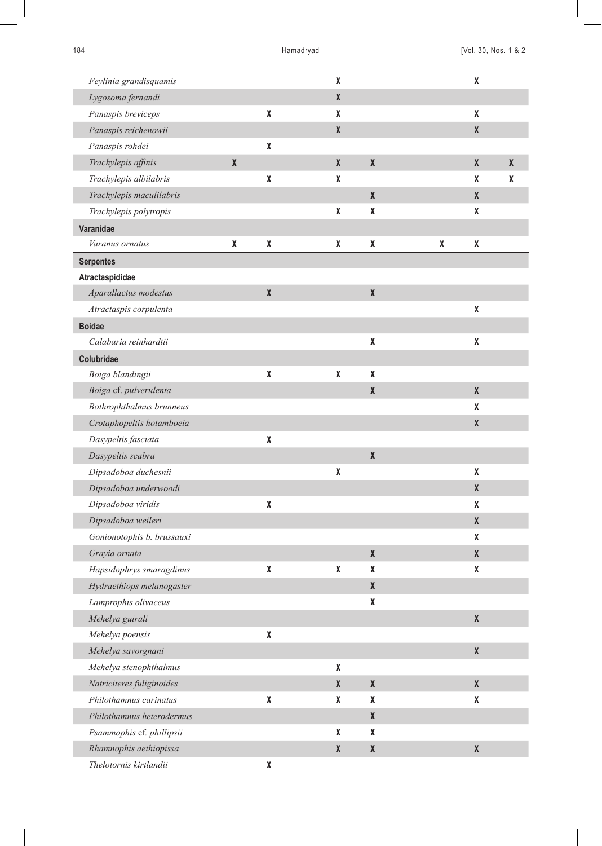| Feylinia grandisquamis     |              |                    | $\pmb{\chi}$       |                    |   | χ                  |              |
|----------------------------|--------------|--------------------|--------------------|--------------------|---|--------------------|--------------|
| Lygosoma fernandi          |              |                    | $\pmb{\chi}$       |                    |   |                    |              |
| Panaspis breviceps         |              | χ                  | $\pmb{\chi}$       |                    |   | χ                  |              |
| Panaspis reichenowii       |              |                    | $\pmb{\chi}$       |                    |   | $\pmb{\chi}$       |              |
| Panaspis rohdei            |              | χ                  |                    |                    |   |                    |              |
| Trachylepis affinis        | $\pmb{\chi}$ |                    | $\pmb{\chi}$       | $\pmb{\chi}$       |   | $\pmb{\mathsf{X}}$ | $\pmb{\chi}$ |
| Trachylepis albilabris     |              | χ                  | $\pmb{\chi}$       |                    |   | X                  | χ            |
| Trachylepis maculilabris   |              |                    |                    | X                  |   | X                  |              |
| Trachylepis polytropis     |              |                    | X                  | χ                  |   | χ                  |              |
| Varanidae                  |              |                    |                    |                    |   |                    |              |
| Varanus ornatus            | χ            | χ                  | X                  | χ                  | X | χ                  |              |
| <b>Serpentes</b>           |              |                    |                    |                    |   |                    |              |
| Atractaspididae            |              |                    |                    |                    |   |                    |              |
| Aparallactus modestus      |              | $\pmb{\chi}$       |                    | $\pmb{\mathsf{X}}$ |   |                    |              |
| Atractaspis corpulenta     |              |                    |                    |                    |   | χ                  |              |
| <b>Boidae</b>              |              |                    |                    |                    |   |                    |              |
| Calabaria reinhardtii      |              |                    |                    | χ                  |   | χ                  |              |
| Colubridae                 |              |                    |                    |                    |   |                    |              |
| Boiga blandingii           |              | χ                  | $\pmb{\chi}$       | χ                  |   |                    |              |
| Boiga cf. pulverulenta     |              |                    |                    | $\pmb{\chi}$       |   | $\pmb{\mathsf{X}}$ |              |
| Bothrophthalmus brunneus   |              |                    |                    |                    |   | χ                  |              |
| Crotaphopeltis hotamboeia  |              |                    |                    |                    |   | $\pmb{\mathsf{X}}$ |              |
| Dasypeltis fasciata        |              | χ                  |                    |                    |   |                    |              |
| Dasypeltis scabra          |              |                    |                    | $\pmb{\mathsf{X}}$ |   |                    |              |
| Dipsadoboa duchesnii       |              |                    | $\pmb{\chi}$       |                    |   | χ                  |              |
| Dipsadoboa underwoodi      |              |                    |                    |                    |   | $\pmb{\chi}$       |              |
| Dipsadoboa viridis         |              | $\pmb{\mathsf{X}}$ |                    |                    |   | χ                  |              |
| Dipsadoboa weileri         |              |                    |                    |                    |   | $\pmb{\chi}$       |              |
| Gonionotophis b. brussauxi |              |                    |                    |                    |   | X                  |              |
| Grayia ornata              |              |                    |                    | $\pmb{\mathsf{X}}$ |   | $\pmb{\mathsf{X}}$ |              |
| Hapsidophrys smaragdinus   |              | χ                  | χ                  | χ                  |   | χ                  |              |
| Hydraethiops melanogaster  |              |                    |                    | X                  |   |                    |              |
| Lamprophis olivaceus       |              |                    |                    | χ                  |   |                    |              |
| Mehelya guirali            |              |                    |                    |                    |   | $\pmb{\chi}$       |              |
| Mehelya poensis            |              | χ                  |                    |                    |   |                    |              |
| Mehelya savorgnani         |              |                    |                    |                    |   | $\pmb{\chi}$       |              |
| Mehelya stenophthalmus     |              |                    | X                  |                    |   |                    |              |
| Natriciteres fuliginoides  |              |                    | $\pmb{\chi}$       | $\pmb{\mathsf{X}}$ |   | $\pmb{\mathsf{X}}$ |              |
| Philothamnus carinatus     |              | $\pmb{\mathsf{X}}$ | χ                  | χ                  |   | χ                  |              |
| Philothamnus heterodermus  |              |                    |                    | X                  |   |                    |              |
| Psammophis cf. phillipsii  |              |                    | $\pmb{\mathsf{X}}$ | χ                  |   |                    |              |
| Rhamnophis aethiopissa     |              |                    | $\pmb{\chi}$       | $\pmb{\mathsf{X}}$ |   | $\pmb{\mathsf{X}}$ |              |
| Thelotornis kirtlandii     |              | χ                  |                    |                    |   |                    |              |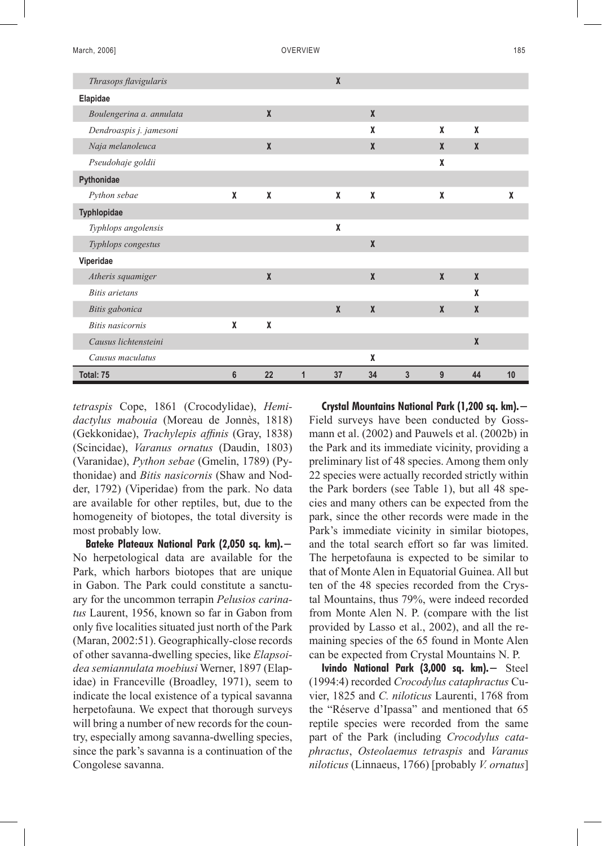| Thrasops flavigularis    |                 |              |   | X            |                  |              |                     |                  |    |
|--------------------------|-----------------|--------------|---|--------------|------------------|--------------|---------------------|------------------|----|
| Elapidae                 |                 |              |   |              |                  |              |                     |                  |    |
| Boulengerina a. annulata |                 | $\mathbf{x}$ |   |              | $\mathbf{x}$     |              |                     |                  |    |
| Dendroaspis j. jamesoni  |                 |              |   |              | X                |              | X                   | X                |    |
| Naja melanoleuca         |                 | $\mathbf{x}$ |   |              | $\mathbf{x}$     |              | X                   | $\boldsymbol{x}$ |    |
| Pseudohaje goldii        |                 |              |   |              |                  |              | X                   |                  |    |
| Pythonidae               |                 |              |   |              |                  |              |                     |                  |    |
| Python sebae             | X               | X            |   | X            | X                |              | X                   |                  | X  |
| Typhlopidae              |                 |              |   |              |                  |              |                     |                  |    |
| Typhlops angolensis      |                 |              |   | X            |                  |              |                     |                  |    |
| Typhlops congestus       |                 |              |   |              | $\mathbf{x}$     |              |                     |                  |    |
| Viperidae                |                 |              |   |              |                  |              |                     |                  |    |
| Atheris squamiger        |                 | X            |   |              | $\boldsymbol{X}$ |              | $\boldsymbol{\chi}$ | $\mathbf x$      |    |
| <b>Bitis</b> arietans    |                 |              |   |              |                  |              |                     | X                |    |
| Bitis gabonica           |                 |              |   | $\mathbf{x}$ | $\mathbf{x}$     |              | $\mathbf{x}$        | $\mathbf{x}$     |    |
| <b>Bitis nasicornis</b>  | X               | X            |   |              |                  |              |                     |                  |    |
| Causus lichtensteini     |                 |              |   |              |                  |              |                     | $\boldsymbol{X}$ |    |
| Causus maculatus         |                 |              |   |              | X                |              |                     |                  |    |
| Total: 75                | $6\phantom{1}6$ | 22           | 1 | 37           | 34               | $\mathbf{3}$ | 9                   | 44               | 10 |

*tetraspis* Cope, 1861 (Crocodylidae), *Hemidactylus mabouia* (Moreau de Jonnès, 1818) (Gekkonidae), *Trachylepis affinis* (Gray, 1838) (Scincidae), *Varanus ornatus* (Daudin, 1803) (Varanidae), *Python sebae* (Gmelin, 1789) (Pythonidae) and *Bitis nasicornis* (Shaw and Nodder, 1792) (Viperidae) from the park. No data are available for other reptiles, but, due to the homogeneity of biotopes, the total diversity is most probably low.

**Bateke Plateaux National Park (2,050 sq. km).−** No herpetological data are available for the Park, which harbors biotopes that are unique in Gabon. The Park could constitute a sanctuary for the uncommon terrapin *Pelusios carinatus* Laurent, 1956, known so far in Gabon from only five localities situated just north of the Park (Maran, 2002:51). Geographically-close records of other savanna-dwelling species, like *Elapsoidea semiannulata moebiusi* Werner, 1897 (Elapidae) in Franceville (Broadley, 1971), seem to indicate the local existence of a typical savanna herpetofauna. We expect that thorough surveys will bring a number of new records for the country, especially among savanna-dwelling species, since the park's savanna is a continuation of the Congolese savanna.

**Crystal Mountains National Park (1,200 sq. km).−** Field surveys have been conducted by Gossmann et al. (2002) and Pauwels et al. (2002b) in the Park and its immediate vicinity, providing a preliminary list of 48 species. Among them only 22 species were actually recorded strictly within the Park borders (see Table 1), but all 48 species and many others can be expected from the park, since the other records were made in the Park's immediate vicinity in similar biotopes, and the total search effort so far was limited. The herpetofauna is expected to be similar to that of Monte Alen in Equatorial Guinea. All but ten of the 48 species recorded from the Crystal Mountains, thus 79%, were indeed recorded from Monte Alen N. P. (compare with the list provided by Lasso et al., 2002), and all the remaining species of the 65 found in Monte Alen can be expected from Crystal Mountains N. P.

**Ivindo National Park (3,000 sq. km).−** Steel (1994:4) recorded *Crocodylus cataphractus* Cuvier, 1825 and *C. niloticus* Laurenti, 1768 from the "Réserve d'Ipassa" and mentioned that 65 reptile species were recorded from the same part of the Park (including *Crocodylus cataphractus*, *Osteolaemus tetraspis* and *Varanus niloticus* (Linnaeus, 1766) [probably *V. ornatus*]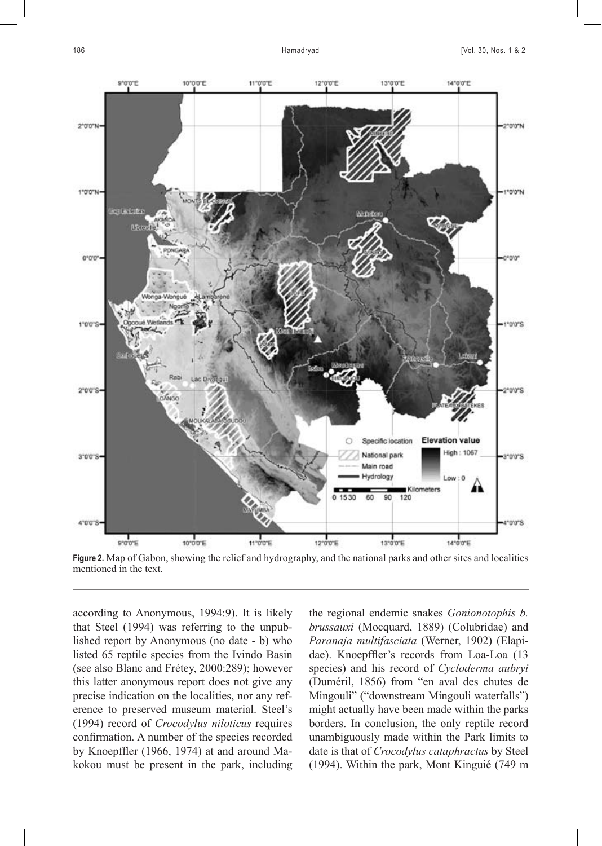

**Figure 2.** Map of Gabon, showing the relief and hydrography, and the national parks and other sites and localities mentioned in the text.

according to Anonymous, 1994:9). It is likely that Steel (1994) was referring to the unpublished report by Anonymous (no date - b) who listed 65 reptile species from the Ivindo Basin (see also Blanc and Frétey, 2000:289); however this latter anonymous report does not give any precise indication on the localities, nor any reference to preserved museum material. Steel's (1994) record of *Crocodylus niloticus* requires confirmation. A number of the species recorded by Knoepffler (1966, 1974) at and around Makokou must be present in the park, including the regional endemic snakes *Gonionotophis b. brussauxi* (Mocquard, 1889) (Colubridae) and *Paranaja multifasciata* (Werner, 1902) (Elapidae). Knoepffler's records from Loa-Loa (13 species) and his record of *Cycloderma aubryi* (Duméril, 1856) from "en aval des chutes de Mingouli" ("downstream Mingouli waterfalls") might actually have been made within the parks borders. In conclusion, the only reptile record unambiguously made within the Park limits to date is that of *Crocodylus cataphractus* by Steel (1994). Within the park, Mont Kinguié (749 m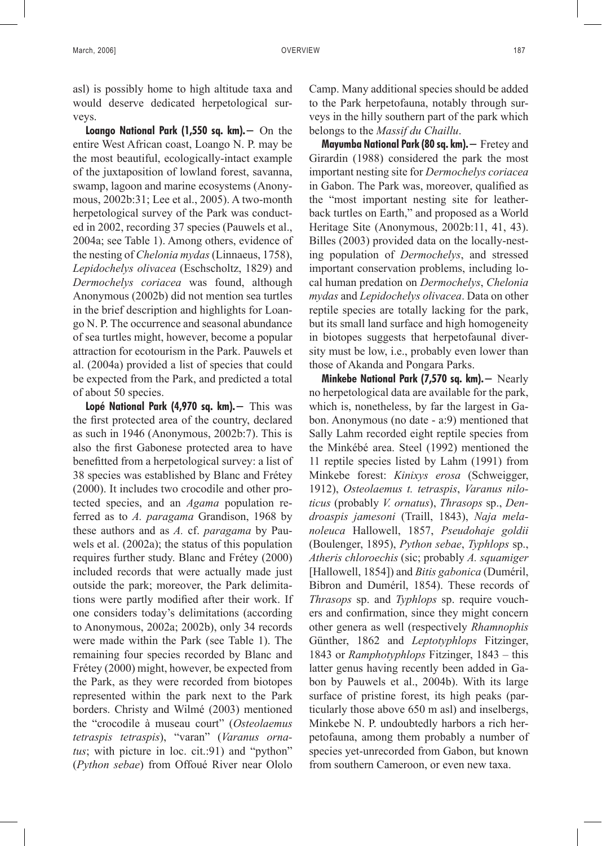asl) is possibly home to high altitude taxa and would deserve dedicated herpetological surveys.

**Loango National Park (1,550 sq. km).−** On the entire West African coast, Loango N. P. may be the most beautiful, ecologically-intact example of the juxtaposition of lowland forest, savanna, swamp, lagoon and marine ecosystems (Anonymous, 2002b:31; Lee et al., 2005). A two-month herpetological survey of the Park was conducted in 2002, recording 37 species (Pauwels et al., 2004a; see Table 1). Among others, evidence of the nesting of *Chelonia mydas* (Linnaeus, 1758), *Lepidochelys olivacea* (Eschscholtz, 1829) and *Dermochelys coriacea* was found, although Anonymous (2002b) did not mention sea turtles in the brief description and highlights for Loango N. P. The occurrence and seasonal abundance of sea turtles might, however, become a popular attraction for ecotourism in the Park. Pauwels et al. (2004a) provided a list of species that could be expected from the Park, and predicted a total of about 50 species.

**Lopé National Park (4,970 sq. km).−** This was the first protected area of the country, declared as such in 1946 (Anonymous, 2002b:7). This is also the first Gabonese protected area to have benefitted from a herpetological survey: a list of 38 species was established by Blanc and Frétey (2000). It includes two crocodile and other protected species, and an *Agama* population referred as to *A. paragama* Grandison, 1968 by these authors and as *A.* cf. *paragama* by Pauwels et al. (2002a); the status of this population requires further study. Blanc and Frétey (2000) included records that were actually made just outside the park; moreover, the Park delimitations were partly modified after their work. If one considers today's delimitations (according to Anonymous, 2002a; 2002b), only 34 records were made within the Park (see Table 1). The remaining four species recorded by Blanc and Frétey (2000) might, however, be expected from the Park, as they were recorded from biotopes represented within the park next to the Park borders. Christy and Wilmé (2003) mentioned the "crocodile à museau court" (*Osteolaemus tetraspis tetraspis*), "varan" (*Varanus orna*tus; with picture in loc. cit.:91) and "python" (*Python sebae*) from Offoué River near Ololo

Camp. Many additional species should be added to the Park herpetofauna, notably through surveys in the hilly southern part of the park which belongs to the *Massif du Chaillu*.

**Mayumba National Park (80 sq. km).−** Fretey and Girardin (1988) considered the park the most important nesting site for *Dermochelys coriacea* in Gabon. The Park was, moreover, qualified as the "most important nesting site for leatherback turtles on Earth," and proposed as a World Heritage Site (Anonymous, 2002b:11, 41, 43). Billes (2003) provided data on the locally-nesting population of *Dermochelys*, and stressed important conservation problems, including local human predation on *Dermochelys*, *Chelonia mydas* and *Lepidochelys olivacea*. Data on other reptile species are totally lacking for the park, but its small land surface and high homogeneity in biotopes suggests that herpetofaunal diversity must be low, i.e., probably even lower than those of Akanda and Pongara Parks.

**Minkebe National Park (7,570 sq. km).−** Nearly no herpetological data are available for the park, which is, nonetheless, by far the largest in Gabon. Anonymous (no date - a:9) mentioned that Sally Lahm recorded eight reptile species from the Minkébé area. Steel (1992) mentioned the 11 reptile species listed by Lahm (1991) from Minkebe forest: *Kinixys erosa* (Schweigger, 1912), *Osteolaemus t. tetraspis*, *Varanus niloticus* (probably *V. ornatus*), *Thrasops* sp., *Dendroaspis jamesoni* (Traill, 1843), *Naja melanoleuca* Hallowell, 1857, *Pseudohaje goldii* (Boulenger, 1895), *Python sebae*, *Typhlops* sp., *Atheris chloroechis* (sic; probably *A. squamiger* [Hallowell, 1854]) and *Bitis gabonica* (Duméril, Bibron and Duméril, 1854). These records of *Thrasops* sp. and *Typhlops* sp. require vouchers and confirmation, since they might concern other genera as well (respectively *Rhamnophis* Günther, 1862 and *Leptotyphlops* Fitzinger, 1843 or *Ramphotyphlops* Fitzinger, 1843 – this latter genus having recently been added in Gabon by Pauwels et al., 2004b). With its large surface of pristine forest, its high peaks (particularly those above 650 m asl) and inselbergs, Minkebe N. P. undoubtedly harbors a rich herpetofauna, among them probably a number of species yet-unrecorded from Gabon, but known from southern Cameroon, or even new taxa.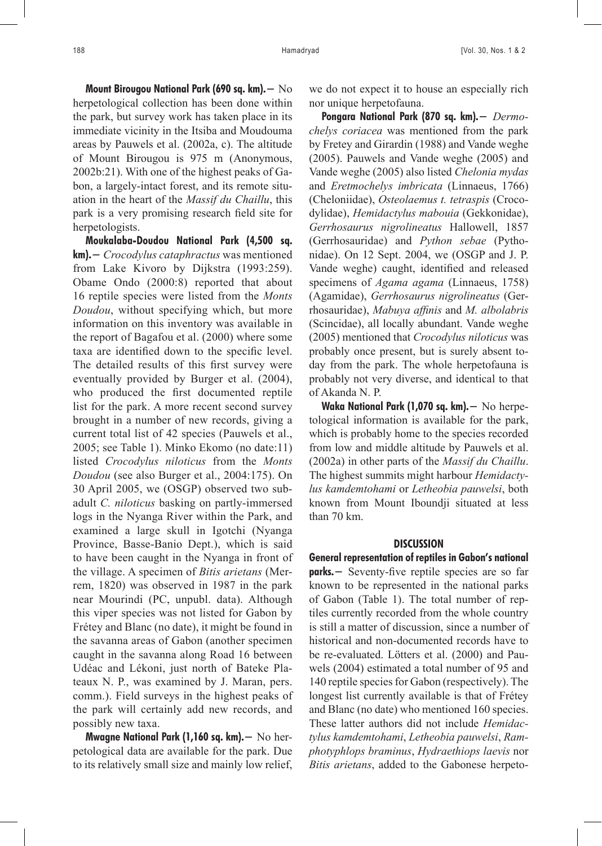**Mount Birougou National Park (690 sq. km).−** No herpetological collection has been done within the park, but survey work has taken place in its immediate vicinity in the Itsiba and Moudouma areas by Pauwels et al. (2002a, c). The altitude of Mount Birougou is 975 m (Anonymous, 2002b:21). With one of the highest peaks of Gabon, a largely-intact forest, and its remote situation in the heart of the *Massif du Chaillu*, this park is a very promising research field site for herpetologists.

**Moukalaba-Doudou National Park (4,500 sq. km).−** *Crocodylus cataphractus* was mentioned from Lake Kivoro by Dijkstra (1993:259). Obame Ondo (2000:8) reported that about 16 reptile species were listed from the *Monts Doudou*, without specifying which, but more information on this inventory was available in the report of Bagafou et al. (2000) where some taxa are identified down to the specific level. The detailed results of this first survey were eventually provided by Burger et al. (2004), who produced the first documented reptile list for the park. A more recent second survey brought in a number of new records, giving a current total list of 42 species (Pauwels et al., 2005; see Table 1). Minko Ekomo (no date:11) listed *Crocodylus niloticus* from the *Monts Doudou* (see also Burger et al., 2004:175). On 30 April 2005, we (OSGP) observed two subadult *C. niloticus* basking on partly-immersed logs in the Nyanga River within the Park, and examined a large skull in Igotchi (Nyanga Province, Basse-Banio Dept.), which is said to have been caught in the Nyanga in front of the village. A specimen of *Bitis arietans* (Merrem, 1820) was observed in 1987 in the park near Mourindi (PC, unpubl. data). Although this viper species was not listed for Gabon by Frétey and Blanc (no date), it might be found in the savanna areas of Gabon (another specimen caught in the savanna along Road 16 between Udéac and Lékoni, just north of Bateke Plateaux N. P., was examined by J. Maran, pers. comm.). Field surveys in the highest peaks of the park will certainly add new records, and possibly new taxa.

**Mwagne National Park (1,160 sq. km).−** No herpetological data are available for the park. Due to its relatively small size and mainly low relief, we do not expect it to house an especially rich nor unique herpetofauna.

**Pongara National Park (870 sq. km).−** *Dermochelys coriacea* was mentioned from the park by Fretey and Girardin (1988) and Vande weghe (2005). Pauwels and Vande weghe (2005) and Vande weghe (2005) also listed *Chelonia mydas* and *Eretmochelys imbricata* (Linnaeus, 1766) (Cheloniidae), *Osteolaemus t. tetraspis* (Crocodylidae), *Hemidactylus mabouia* (Gekkonidae), *Gerrhosaurus nigrolineatus* Hallowell, 1857 (Gerrhosauridae) and *Python sebae* (Pythonidae). On 12 Sept. 2004, we (OSGP and J. P. Vande weghe) caught, identified and released specimens of *Agama agama* (Linnaeus, 1758) (Agamidae), *Gerrhosaurus nigrolineatus* (Gerrhosauridae), *Mabuya affinis* and *M. albolabris* (Scincidae), all locally abundant. Vande weghe (2005) mentioned that *Crocodylus niloticus* was probably once present, but is surely absent today from the park. The whole herpetofauna is probably not very diverse, and identical to that of Akanda N. P.

**Waka National Park (1,070 sq. km).−** No herpetological information is available for the park, which is probably home to the species recorded from low and middle altitude by Pauwels et al. (2002a) in other parts of the *Massif du Chaillu*. The highest summits might harbour *Hemidactylus kamdemtohami* or *Letheobia pauwelsi*, both known from Mount Iboundji situated at less than 70 km.

#### **DISCUSSION**

**General representation of reptiles in Gabon's national parks.−** Seventy-five reptile species are so far known to be represented in the national parks of Gabon (Table 1). The total number of reptiles currently recorded from the whole country is still a matter of discussion, since a number of historical and non-documented records have to be re-evaluated. Lötters et al. (2000) and Pauwels (2004) estimated a total number of 95 and 140 reptile species for Gabon (respectively). The longest list currently available is that of Frétey and Blanc (no date) who mentioned 160 species. These latter authors did not include *Hemidactylus kamdemtohami*, *Letheobia pauwelsi*, *Ramphotyphlops braminus*, *Hydraethiops laevis* nor *Bitis arietans*, added to the Gabonese herpeto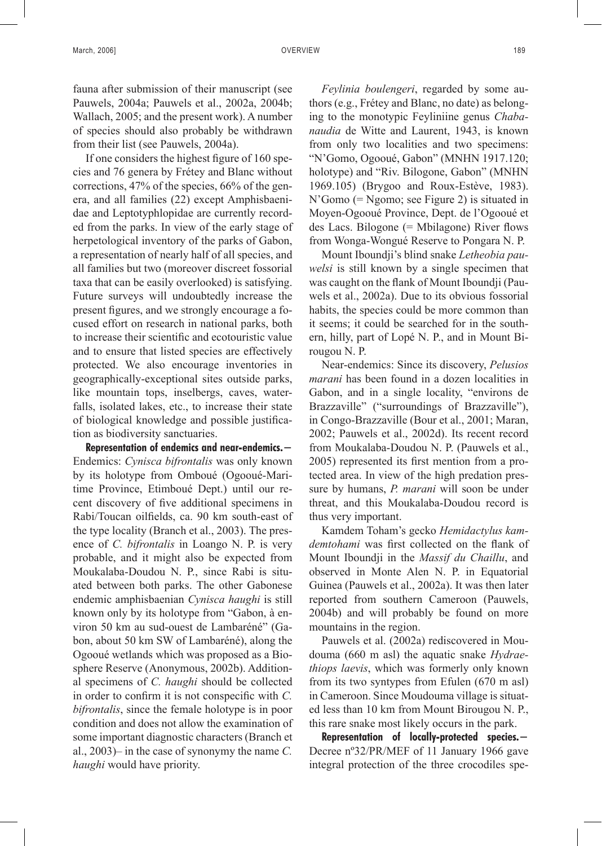fauna after submission of their manuscript (see Pauwels, 2004a; Pauwels et al., 2002a, 2004b; Wallach, 2005; and the present work). A number of species should also probably be withdrawn from their list (see Pauwels, 2004a).

If one considers the highest figure of 160 species and 76 genera by Frétey and Blanc without corrections, 47% of the species, 66% of the genera, and all families (22) except Amphisbaenidae and Leptotyphlopidae are currently recorded from the parks. In view of the early stage of herpetological inventory of the parks of Gabon, a representation of nearly half of all species, and all families but two (moreover discreet fossorial taxa that can be easily overlooked) is satisfying. Future surveys will undoubtedly increase the present figures, and we strongly encourage a focused effort on research in national parks, both to increase their scientific and ecotouristic value and to ensure that listed species are effectively protected. We also encourage inventories in geographically-exceptional sites outside parks, like mountain tops, inselbergs, caves, waterfalls, isolated lakes, etc., to increase their state of biological knowledge and possible justification as biodiversity sanctuaries.

**Representation of endemics and near-endemics.−** Endemics: *Cynisca bifrontalis* was only known by its holotype from Omboué (Ogooué-Maritime Province, Etimboué Dept.) until our recent discovery of five additional specimens in Rabi/Toucan oilfields, ca. 90 km south-east of the type locality (Branch et al., 2003). The presence of *C. bifrontalis* in Loango N. P. is very probable, and it might also be expected from Moukalaba-Doudou N. P., since Rabi is situated between both parks. The other Gabonese endemic amphisbaenian *Cynisca haughi* is still known only by its holotype from "Gabon, à environ 50 km au sud-ouest de Lambaréné" (Gabon, about 50 km SW of Lambaréné), along the Ogooué wetlands which was proposed as a Biosphere Reserve (Anonymous, 2002b). Additional specimens of *C. haughi* should be collected in order to confirm it is not conspecific with *C. bifrontalis*, since the female holotype is in poor condition and does not allow the examination of some important diagnostic characters (Branch et al., 2003)– in the case of synonymy the name *C. haughi* would have priority.

*Feylinia boulengeri*, regarded by some authors (e.g., Frétey and Blanc, no date) as belonging to the monotypic Feyliniine genus *Chabanaudia* de Witte and Laurent, 1943, is known from only two localities and two specimens: "N'Gomo, Ogooué, Gabon" (MNHN 1917.120; holotype) and "Riv. Bilogone, Gabon" (MNHN 1969.105) (Brygoo and Roux-Estève, 1983). N'Gomo (= Ngomo; see Figure 2) is situated in Moyen-Ogooué Province, Dept. de l'Ogooué et des Lacs. Bilogone (= Mbilagone) River flows from Wonga-Wongué Reserve to Pongara N. P.

Mount Iboundji's blind snake *Letheobia pauwelsi* is still known by a single specimen that was caught on the flank of Mount Iboundji (Pauwels et al., 2002a). Due to its obvious fossorial habits, the species could be more common than it seems; it could be searched for in the southern, hilly, part of Lopé N. P., and in Mount Birougou N. P.

Near-endemics: Since its discovery, *Pelusios marani* has been found in a dozen localities in Gabon, and in a single locality, "environs de Brazzaville" ("surroundings of Brazzaville"), in Congo-Brazzaville (Bour et al., 2001; Maran, 2002; Pauwels et al., 2002d). Its recent record from Moukalaba-Doudou N. P. (Pauwels et al., 2005) represented its first mention from a protected area. In view of the high predation pressure by humans, *P. marani* will soon be under threat, and this Moukalaba-Doudou record is thus very important.

Kamdem Toham's gecko *Hemidactylus kamdemtohami* was first collected on the flank of Mount Iboundji in the *Massif du Chaillu*, and observed in Monte Alen N. P. in Equatorial Guinea (Pauwels et al., 2002a). It was then later reported from southern Cameroon (Pauwels, 2004b) and will probably be found on more mountains in the region.

Pauwels et al. (2002a) rediscovered in Moudouma (660 m asl) the aquatic snake *Hydraethiops laevis*, which was formerly only known from its two syntypes from Efulen (670 m asl) in Cameroon. Since Moudouma village is situated less than 10 km from Mount Birougou N. P., this rare snake most likely occurs in the park.

**Representation of locally-protected species.−** Decree nº32/PR/MEF of 11 January 1966 gave integral protection of the three crocodiles spe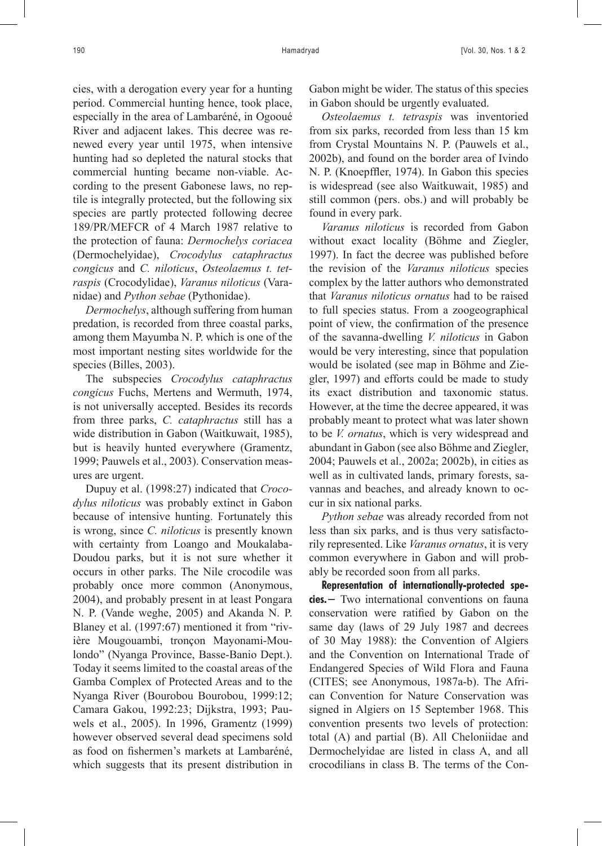cies, with a derogation every year for a hunting period. Commercial hunting hence, took place, especially in the area of Lambaréné, in Ogooué River and adjacent lakes. This decree was renewed every year until 1975, when intensive hunting had so depleted the natural stocks that commercial hunting became non-viable. According to the present Gabonese laws, no reptile is integrally protected, but the following six species are partly protected following decree 189/PR/MEFCR of 4 March 1987 relative to the protection of fauna: *Dermochelys coriacea* (Dermochelyidae), *Crocodylus cataphractus congicus* and *C. niloticus*, *Osteolaemus t. tetraspis* (Crocodylidae), *Varanus niloticus* (Varanidae) and *Python sebae* (Pythonidae).

*Dermochelys*, although suffering from human predation, is recorded from three coastal parks, among them Mayumba N. P. which is one of the most important nesting sites worldwide for the species (Billes, 2003).

The subspecies *Crocodylus cataphractus congicus* Fuchs, Mertens and Wermuth, 1974, is not universally accepted. Besides its records from three parks, *C. cataphractus* still has a wide distribution in Gabon (Waitkuwait, 1985), but is heavily hunted everywhere (Gramentz, 1999; Pauwels et al., 2003). Conservation measures are urgent.

Dupuy et al. (1998:27) indicated that *Crocodylus niloticus* was probably extinct in Gabon because of intensive hunting. Fortunately this is wrong, since *C. niloticus* is presently known with certainty from Loango and Moukalaba-Doudou parks, but it is not sure whether it occurs in other parks. The Nile crocodile was probably once more common (Anonymous, 2004), and probably present in at least Pongara N. P. (Vande weghe, 2005) and Akanda N. P. Blaney et al. (1997:67) mentioned it from "rivière Mougouambi, tronçon Mayonami-Moulondo" (Nyanga Province, Basse-Banio Dept.). Today it seems limited to the coastal areas of the Gamba Complex of Protected Areas and to the Nyanga River (Bourobou Bourobou, 1999:12; Camara Gakou, 1992:23; Dijkstra, 1993; Pauwels et al., 2005). In 1996, Gramentz (1999) however observed several dead specimens sold as food on fishermen's markets at Lambaréné, which suggests that its present distribution in

Gabon might be wider. The status of this species in Gabon should be urgently evaluated.

*Osteolaemus t. tetraspis* was inventoried from six parks, recorded from less than 15 km from Crystal Mountains N. P. (Pauwels et al., 2002b), and found on the border area of Ivindo N. P. (Knoepffler, 1974). In Gabon this species is widespread (see also Waitkuwait, 1985) and still common (pers. obs.) and will probably be found in every park.

*Varanus niloticus* is recorded from Gabon without exact locality (Böhme and Ziegler, 1997). In fact the decree was published before the revision of the *Varanus niloticus* species complex by the latter authors who demonstrated that *Varanus niloticus ornatus* had to be raised to full species status. From a zoogeographical point of view, the confirmation of the presence of the savanna-dwelling *V. niloticus* in Gabon would be very interesting, since that population would be isolated (see map in Böhme and Ziegler, 1997) and efforts could be made to study its exact distribution and taxonomic status. However, at the time the decree appeared, it was probably meant to protect what was later shown to be *V. ornatus*, which is very widespread and abundant in Gabon (see also Böhme and Ziegler, 2004; Pauwels et al., 2002a; 2002b), in cities as well as in cultivated lands, primary forests, savannas and beaches, and already known to occur in six national parks.

*Python sebae* was already recorded from not less than six parks, and is thus very satisfactorily represented. Like *Varanus ornatus*, it is very common everywhere in Gabon and will probably be recorded soon from all parks.

**Representation of internationally-protected species.−** Two international conventions on fauna conservation were ratified by Gabon on the same day (laws of 29 July 1987 and decrees of 30 May 1988): the Convention of Algiers and the Convention on International Trade of Endangered Species of Wild Flora and Fauna (CITES; see Anonymous, 1987a-b). The African Convention for Nature Conservation was signed in Algiers on 15 September 1968. This convention presents two levels of protection: total (A) and partial (B). All Cheloniidae and Dermochelyidae are listed in class A, and all crocodilians in class B. The terms of the Con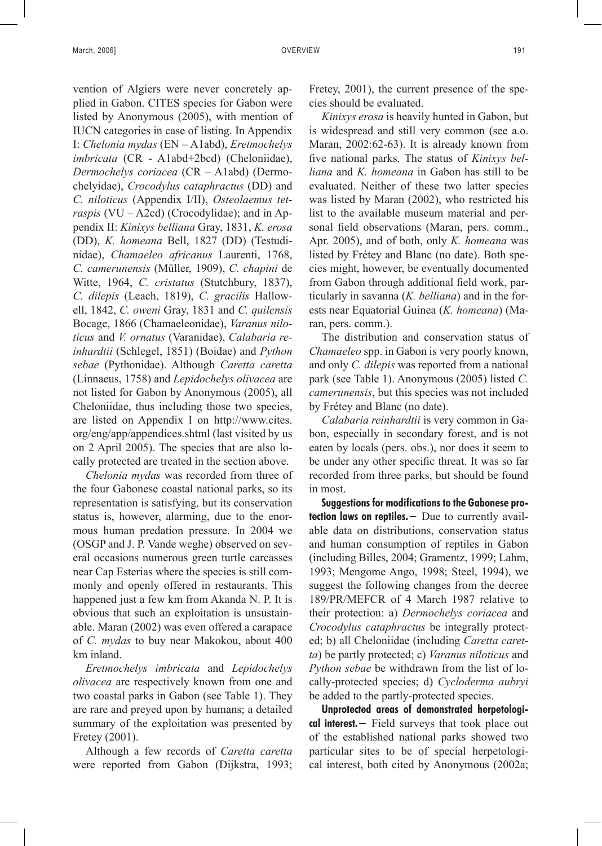vention of Algiers were never concretely applied in Gabon. CITES species for Gabon were listed by Anonymous (2005), with mention of IUCN categories in case of listing. In Appendix I: *Chelonia mydas* (EN – A1abd), *Eretmochelys imbricata* (CR - A1abd+2bcd) (Cheloniidae), *Dermochelys coriacea* (CR – A1abd) (Dermochelyidae), *Crocodylus cataphractus* (DD) and *C. niloticus* (Appendix I/II), *Osteolaemus tetraspis* (VU – A2cd) (Crocodylidae); and in Appendix II: *Kinixys belliana* Gray, 1831, *K. erosa* (DD), *K. homeana* Bell, 1827 (DD) (Testudinidae), *Chamaeleo africanus* Laurenti, 1768, *C. camerunensis* (Müller, 1909), *C. chapini* de Witte, 1964, *C. cristatus* (Stutchbury, 1837), *C. dilepis* (Leach, 1819), *C. gracilis* Hallowell, 1842, *C. oweni* Gray, 1831 and *C. quilensis* Bocage, 1866 (Chamaeleonidae), *Varanus niloticus* and *V. ornatus* (Varanidae), *Calabaria reinhardtii* (Schlegel, 1851) (Boidae) and *Python sebae* (Pythonidae). Although *Caretta caretta* (Linnaeus, 1758) and *Lepidochelys olivacea* are not listed for Gabon by Anonymous (2005), all Cheloniidae, thus including those two species, are listed on Appendix I on http://www.cites. org/eng/app/appendices.shtml (last visited by us on 2 April 2005). The species that are also locally protected are treated in the section above.

*Chelonia mydas* was recorded from three of the four Gabonese coastal national parks, so its representation is satisfying, but its conservation status is, however, alarming, due to the enormous human predation pressure. In 2004 we (OSGP and J. P. Vande weghe) observed on several occasions numerous green turtle carcasses near Cap Esterias where the species is still commonly and openly offered in restaurants. This happened just a few km from Akanda N. P. It is obvious that such an exploitation is unsustainable. Maran (2002) was even offered a carapace of *C. mydas* to buy near Makokou, about 400 km inland.

*Eretmochelys imbricata* and *Lepidochelys olivacea* are respectively known from one and two coastal parks in Gabon (see Table 1). They are rare and preyed upon by humans; a detailed summary of the exploitation was presented by Fretey (2001).

Although a few records of *Caretta caretta* were reported from Gabon (Dijkstra, 1993; Fretey, 2001), the current presence of the species should be evaluated.

*Kinixys erosa* is heavily hunted in Gabon, but is widespread and still very common (see a.o. Maran, 2002:62-63). It is already known from five national parks. The status of *Kinixys belliana* and *K. homeana* in Gabon has still to be evaluated. Neither of these two latter species was listed by Maran (2002), who restricted his list to the available museum material and personal field observations (Maran, pers. comm., Apr. 2005), and of both, only *K. homeana* was listed by Frétey and Blanc (no date). Both species might, however, be eventually documented from Gabon through additional field work, particularly in savanna (*K. belliana*) and in the forests near Equatorial Guinea (*K. homeana*) (Maran, pers. comm.).

The distribution and conservation status of *Chamaeleo* spp. in Gabon is very poorly known, and only *C. dilepis* was reported from a national park (see Table 1). Anonymous (2005) listed *C. camerunensis*, but this species was not included by Frétey and Blanc (no date).

*Calabaria reinhardtii* is very common in Gabon, especially in secondary forest, and is not eaten by locals (pers. obs.), nor does it seem to be under any other specific threat. It was so far recorded from three parks, but should be found in most.

**Suggestions for modifications to the Gabonese pro**tection laws on reptiles. − Due to currently available data on distributions, conservation status and human consumption of reptiles in Gabon (including Billes, 2004; Gramentz, 1999; Lahm, 1993; Mengome Ango, 1998; Steel, 1994), we suggest the following changes from the decree 189/PR/MEFCR of 4 March 1987 relative to their protection: a) *Dermochelys coriacea* and *Crocodylus cataphractus* be integrally protected; b) all Cheloniidae (including *Caretta caretta*) be partly protected; c) *Varanus niloticus* and *Python sebae* be withdrawn from the list of locally-protected species; d) *Cycloderma aubryi* be added to the partly-protected species.

**Unprotected areas of demonstrated herpetological interest.−** Field surveys that took place out of the established national parks showed two particular sites to be of special herpetological interest, both cited by Anonymous (2002a;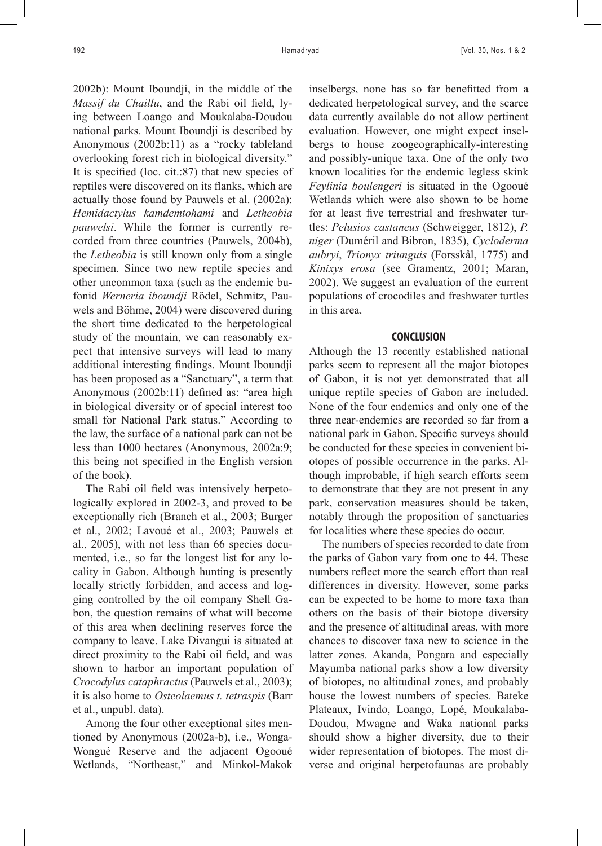2002b): Mount Iboundji, in the middle of the *Massif du Chaillu*, and the Rabi oil field, lying between Loango and Moukalaba-Doudou national parks. Mount Iboundji is described by Anonymous (2002b:11) as a "rocky tableland overlooking forest rich in biological diversity." It is specified (loc. cit.:87) that new species of reptiles were discovered on its flanks, which are actually those found by Pauwels et al. (2002a): *Hemidactylus kamdemtohami* and *Letheobia pauwelsi*. While the former is currently recorded from three countries (Pauwels, 2004b), the *Letheobia* is still known only from a single specimen. Since two new reptile species and other uncommon taxa (such as the endemic bufonid *Werneria iboundji* Rödel, Schmitz, Pauwels and Böhme, 2004) were discovered during the short time dedicated to the herpetological study of the mountain, we can reasonably expect that intensive surveys will lead to many additional interesting findings. Mount Iboundji has been proposed as a "Sanctuary", a term that Anonymous (2002b:11) defined as: "area high in biological diversity or of special interest too small for National Park status." According to the law, the surface of a national park can not be less than 1000 hectares (Anonymous, 2002a:9; this being not specified in the English version of the book).

The Rabi oil field was intensively herpetologically explored in 2002-3, and proved to be exceptionally rich (Branch et al., 2003; Burger et al., 2002; Lavoué et al., 2003; Pauwels et al., 2005), with not less than 66 species documented, i.e., so far the longest list for any locality in Gabon. Although hunting is presently locally strictly forbidden, and access and logging controlled by the oil company Shell Gabon, the question remains of what will become of this area when declining reserves force the company to leave. Lake Divangui is situated at direct proximity to the Rabi oil field, and was shown to harbor an important population of *Crocodylus cataphractus* (Pauwels et al., 2003); it is also home to *Osteolaemus t. tetraspis* (Barr et al., unpubl. data).

Among the four other exceptional sites mentioned by Anonymous (2002a-b), i.e., Wonga-Wongué Reserve and the adjacent Ogooué Wetlands, "Northeast," and Minkol-Makok inselbergs, none has so far benefitted from a dedicated herpetological survey, and the scarce data currently available do not allow pertinent evaluation. However, one might expect inselbergs to house zoogeographically-interesting and possibly-unique taxa. One of the only two known localities for the endemic legless skink *Feylinia boulengeri* is situated in the Ogooué Wetlands which were also shown to be home for at least five terrestrial and freshwater turtles: *Pelusios castaneus* (Schweigger, 1812), *P. niger* (Duméril and Bibron, 1835), *Cycloderma aubryi*, *Trionyx triunguis* (Forsskål, 1775) and *Kinixys erosa* (see Gramentz, 2001; Maran, 2002). We suggest an evaluation of the current populations of crocodiles and freshwater turtles in this area.

## **CONCLUSION**

Although the 13 recently established national parks seem to represent all the major biotopes of Gabon, it is not yet demonstrated that all unique reptile species of Gabon are included. None of the four endemics and only one of the three near-endemics are recorded so far from a national park in Gabon. Specific surveys should be conducted for these species in convenient biotopes of possible occurrence in the parks. Although improbable, if high search efforts seem to demonstrate that they are not present in any park, conservation measures should be taken, notably through the proposition of sanctuaries for localities where these species do occur.

The numbers of species recorded to date from the parks of Gabon vary from one to 44. These numbers reflect more the search effort than real differences in diversity. However, some parks can be expected to be home to more taxa than others on the basis of their biotope diversity and the presence of altitudinal areas, with more chances to discover taxa new to science in the latter zones. Akanda, Pongara and especially Mayumba national parks show a low diversity of biotopes, no altitudinal zones, and probably house the lowest numbers of species. Bateke Plateaux, Ivindo, Loango, Lopé, Moukalaba-Doudou, Mwagne and Waka national parks should show a higher diversity, due to their wider representation of biotopes. The most diverse and original herpetofaunas are probably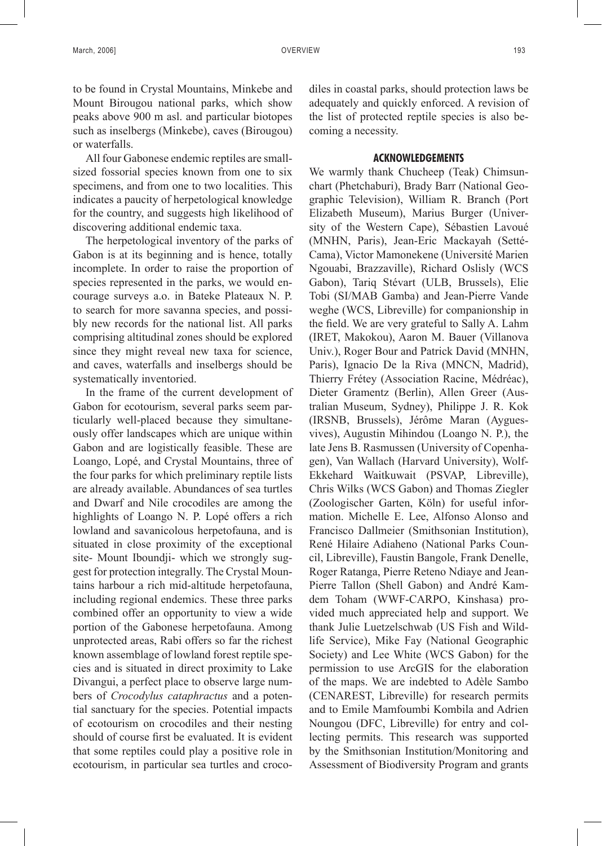to be found in Crystal Mountains, Minkebe and Mount Birougou national parks, which show peaks above 900 m asl. and particular biotopes such as inselbergs (Minkebe), caves (Birougou) or waterfalls.

All four Gabonese endemic reptiles are smallsized fossorial species known from one to six specimens, and from one to two localities. This indicates a paucity of herpetological knowledge for the country, and suggests high likelihood of discovering additional endemic taxa.

The herpetological inventory of the parks of Gabon is at its beginning and is hence, totally incomplete. In order to raise the proportion of species represented in the parks, we would encourage surveys a.o. in Bateke Plateaux N. P. to search for more savanna species, and possibly new records for the national list. All parks comprising altitudinal zones should be explored since they might reveal new taxa for science, and caves, waterfalls and inselbergs should be systematically inventoried.

In the frame of the current development of Gabon for ecotourism, several parks seem particularly well-placed because they simultaneously offer landscapes which are unique within Gabon and are logistically feasible. These are Loango, Lopé, and Crystal Mountains, three of the four parks for which preliminary reptile lists are already available. Abundances of sea turtles and Dwarf and Nile crocodiles are among the highlights of Loango N. P. Lopé offers a rich lowland and savanicolous herpetofauna, and is situated in close proximity of the exceptional site- Mount Iboundji- which we strongly suggest for protection integrally. The Crystal Mountains harbour a rich mid-altitude herpetofauna, including regional endemics. These three parks combined offer an opportunity to view a wide portion of the Gabonese herpetofauna. Among unprotected areas, Rabi offers so far the richest known assemblage of lowland forest reptile species and is situated in direct proximity to Lake Divangui, a perfect place to observe large numbers of *Crocodylus cataphractus* and a potential sanctuary for the species. Potential impacts of ecotourism on crocodiles and their nesting should of course first be evaluated. It is evident that some reptiles could play a positive role in ecotourism, in particular sea turtles and crocodiles in coastal parks, should protection laws be adequately and quickly enforced. A revision of the list of protected reptile species is also becoming a necessity.

## **ACKNOWLEDGEMENTS**

We warmly thank Chucheep (Teak) Chimsunchart (Phetchaburi), Brady Barr (National Geographic Television), William R. Branch (Port Elizabeth Museum), Marius Burger (University of the Western Cape), Sébastien Lavoué (MNHN, Paris), Jean-Eric Mackayah (Setté-Cama), Victor Mamonekene (Université Marien Ngouabi, Brazzaville), Richard Oslisly (WCS Gabon), Tariq Stévart (ULB, Brussels), Elie Tobi (SI/MAB Gamba) and Jean-Pierre Vande weghe (WCS, Libreville) for companionship in the field. We are very grateful to Sally A. Lahm (IRET, Makokou), Aaron M. Bauer (Villanova Univ.), Roger Bour and Patrick David (MNHN, Paris), Ignacio De la Riva (MNCN, Madrid), Thierry Frétey (Association Racine, Médréac), Dieter Gramentz (Berlin), Allen Greer (Australian Museum, Sydney), Philippe J. R. Kok (IRSNB, Brussels), Jérôme Maran (Ayguesvives), Augustin Mihindou (Loango N. P.), the late Jens B. Rasmussen (University of Copenhagen), Van Wallach (Harvard University), Wolf-Ekkehard Waitkuwait (PSVAP, Libreville), Chris Wilks (WCS Gabon) and Thomas Ziegler (Zoologischer Garten, Köln) for useful information. Michelle E. Lee, Alfonso Alonso and Francisco Dallmeier (Smithsonian Institution), René Hilaire Adiaheno (National Parks Council, Libreville), Faustin Bangole, Frank Denelle, Roger Ratanga, Pierre Reteno Ndiaye and Jean-Pierre Tallon (Shell Gabon) and André Kamdem Toham (WWF-CARPO, Kinshasa) provided much appreciated help and support. We thank Julie Luetzelschwab (US Fish and Wildlife Service), Mike Fay (National Geographic Society) and Lee White (WCS Gabon) for the permission to use ArcGIS for the elaboration of the maps. We are indebted to Adèle Sambo (CENAREST, Libreville) for research permits and to Emile Mamfoumbi Kombila and Adrien Noungou (DFC, Libreville) for entry and collecting permits. This research was supported by the Smithsonian Institution/Monitoring and Assessment of Biodiversity Program and grants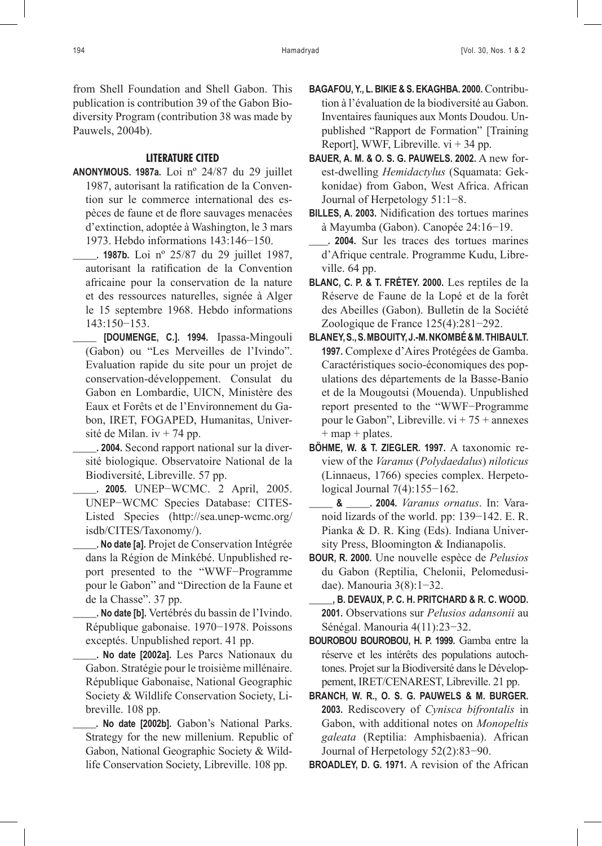from Shell Foundation and Shell Gabon. This publication is contribution 39 of the Gabon Biodiversity Program (contribution 38 was made by Pauwels, 2004b).

## **LITERATURE CITED**

**Anonymous. 1987a.** Loi nº 24/87 du 29 juillet 1987, autorisant la ratification de la Convention sur le commerce international des espèces de faune et de flore sauvages menacées d'extinction, adoptée à Washington, le 3 mars 1973. Hebdo informations 143:146−150.

**\_\_\_\_\_. 1987b.** Loi nº 25/87 du 29 juillet 1987, autorisant la ratification de la Convention africaine pour la conservation de la nature et des ressources naturelles, signée à Alger le 15 septembre 1968. Hebdo informations 143:150−153.

**\_\_\_\_\_ [Doumenge, C.]. 1994.** Ipassa-Mingouli (Gabon) ou "Les Merveilles de l'Ivindo". Evaluation rapide du site pour un projet de conservation-développement. Consulat du Gabon en Lombardie, UICN, Ministère des Eaux et Forêts et de l'Environnement du Gabon, IRET, FOGAPED, Humanitas, Université de Milan. iv + 74 pp.

**\_\_\_\_\_. 2004.** Second rapport national sur la diversité biologique. Observatoire National de la Biodiversité, Libreville. 57 pp.

- **\_\_\_\_\_. 2005.** UNEP−WCMC. 2 April, 2005. UNEP−WCMC Species Database: CITES-Listed Species (http://sea.unep-wcmc.org/ isdb/CITES/Taxonomy/).
- **\_\_\_\_\_. No date [a].** Projet de Conservation Intégrée dans la Région de Minkébé. Unpublished report presented to the "WWF−Programme pour le Gabon" and "Direction de la Faune et de la Chasse". 37 pp.
- **\_\_\_\_\_. No date [b].** Vertébrés du bassin de l'Ivindo. République gabonaise. 1970−1978. Poissons exceptés. Unpublished report. 41 pp.
- **\_\_\_\_\_. No date [2002a].** Les Parcs Nationaux du Gabon. Stratégie pour le troisième millénaire. République Gabonaise, National Geographic Society & Wildlife Conservation Society, Libreville. 108 pp.
- **\_\_\_\_\_. No date [2002b].** Gabon's National Parks. Strategy for the new millenium. Republic of Gabon, National Geographic Society & Wildlife Conservation Society, Libreville. 108 pp.
- **Bagafou, Y., L. Bikie & S. Ekaghba. 2000.** Contribution à l'évaluation de la biodiversité au Gabon. Inventaires fauniques aux Monts Doudou. Unpublished "Rapport de Formation" [Training Report], WWF, Libreville.  $vi + 34$  pp.
- **Bauer, A. M. & O. S. G. Pauwels. 2002.** A new forest-dwelling *Hemidactylus* (Squamata: Gekkonidae) from Gabon, West Africa. African Journal of Herpetology 51:1−8.
- **Billes, A. 2003.** Nidification des tortues marines à Mayumba (Gabon). Canopée 24:16−19.
- **\_\_\_\_. 2004.** Sur les traces des tortues marines d'Afrique centrale. Programme Kudu, Libreville. 64 pp.
- **Blanc, C. P. & T. Frétey. 2000.** Les reptiles de la Réserve de Faune de la Lopé et de la forêt des Abeilles (Gabon). Bulletin de la Société Zoologique de France 125(4):281−292.
- **Blaney, S., S. Mbouity, J.-M. Nkombé & M. Thibault. 1997.** Complexe d'Aires Protégées de Gamba. Caractéristiques socio-économiques des populations des départements de la Basse-Banio et de la Mougoutsi (Mouenda). Unpublished report presented to the "WWF−Programme pour le Gabon", Libreville. vi + 75 + annexes  $+$  map  $+$  plates.
- **Böhme, W. & T. Ziegler. 1997.** A taxonomic review of the *Varanus* (*Polydaedalus*) *niloticus* (Linnaeus, 1766) species complex. Herpetological Journal 7(4):155−162.
- **\_\_\_\_\_ & \_\_\_\_\_. 2004.** *Varanus ornatus*. In: Varanoid lizards of the world. pp: 139−142. E. R. Pianka & D. R. King (Eds). Indiana University Press, Bloomington & Indianapolis.
- **Bour, R. 2000.** Une nouvelle espèce de *Pelusios* du Gabon (Reptilia, Chelonii, Pelomedusidae). Manouria 3(8):1−32.
	- **\_\_\_\_\_, B. Devaux, P. C. H. Pritchard & R. C. Wood. 2001.** Observations sur *Pelusios adansonii* au Sénégal. Manouria 4(11):23−32.
- **Bourobou Bourobou, H. P. 1999.** Gamba entre la réserve et les intérêts des populations autochtones. Projet sur la Biodiversité dans le Développement, IRET/CENAREST, Libreville. 21 pp.
- **Branch, W. R., O. S. G. Pauwels & M. Burger. 2003.** Rediscovery of *Cynisca bifrontalis* in Gabon, with additional notes on *Monopeltis galeata* (Reptilia: Amphisbaenia). African Journal of Herpetology 52(2):83−90.

**Broadley, D. G. 1971.** A revision of the African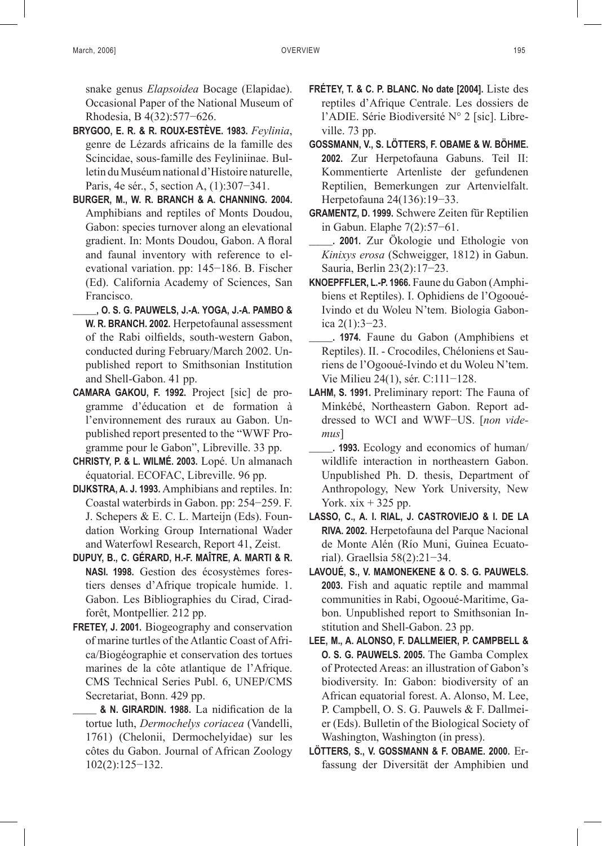snake genus *Elapsoidea* Bocage (Elapidae). Occasional Paper of the National Museum of Rhodesia, B 4(32):577−626.

- **Brygoo, E. R. & R. Roux-Estève. 1983.** *Feylinia*, genre de Lézards africains de la famille des Scincidae, sous-famille des Feyliniinae. Bulletin du Muséum national d'Histoire naturelle, Paris, 4e sér., 5, section A, (1):307−341.
- **Burger, M., W. R. Branch & A. Channing. 2004.** Amphibians and reptiles of Monts Doudou, Gabon: species turnover along an elevational gradient. In: Monts Doudou, Gabon. A floral and faunal inventory with reference to elevational variation. pp: 145−186. B. Fischer (Ed). California Academy of Sciences, San Francisco.
- **\_\_\_\_\_, O. S. G. Pauwels, J.-A. Yoga, J.-A. Pambo & W. R. Branch. 2002.** Herpetofaunal assessment of the Rabi oilfields, south-western Gabon, conducted during February/March 2002. Unpublished report to Smithsonian Institution and Shell-Gabon. 41 pp.
- **Camara Gakou, F. 1992.** Project [sic] de programme d'éducation et de formation à l'environnement des ruraux au Gabon. Unpublished report presented to the "WWF Programme pour le Gabon", Libreville. 33 pp.
- **Christy, P. & L. Wilmé. 2003.** Lopé. Un almanach équatorial. ECOFAC, Libreville. 96 pp.
- **Dijkstra, A. J. 1993.** Amphibians and reptiles. In: Coastal waterbirds in Gabon. pp: 254−259. F. J. Schepers & E. C. L. Marteijn (Eds). Foundation Working Group International Wader and Waterfowl Research, Report 41, Zeist.
- **Dupuy, B., C. Gérard, H.-F. Maître, A. Marti & R. Nasi. 1998.** Gestion des écosystèmes forestiers denses d'Afrique tropicale humide. 1. Gabon. Les Bibliographies du Cirad, Ciradforêt, Montpellier. 212 pp.
- FRETEY, J. 2001. Biogeography and conservation of marine turtles of the Atlantic Coast of Africa/Biogéographie et conservation des tortues marines de la côte atlantique de l'Afrique. CMS Technical Series Publ. 6, UNEP/CMS Secretariat, Bonn. 429 pp.
	- **\_\_\_\_\_ & N. Girardin. 1988.** La nidification de la tortue luth, *Dermochelys coriacea* (Vandelli, 1761) (Chelonii, Dermochelyidae) sur les côtes du Gabon. Journal of African Zoology 102(2):125−132.
- **Frétey, T. & C. P. Blanc. No date [2004].** Liste des reptiles d'Afrique Centrale. Les dossiers de l'ADIE. Série Biodiversité N° 2 [sic]. Libreville. 73 pp.
- **Gossmann, V., S. Lötters, F. Obame & W. Böhme. 2002.** Zur Herpetofauna Gabuns. Teil II: Kommentierte Artenliste der gefundenen Reptilien, Bemerkungen zur Artenvielfalt. Herpetofauna 24(136):19−33.
- **Gramentz, D. 1999.** Schwere Zeiten für Reptilien in Gabun. Elaphe 7(2):57−61.
- **\_\_\_\_\_. 2001.** Zur Ökologie und Ethologie von *Kinixys erosa* (Schweigger, 1812) in Gabun. Sauria, Berlin 23(2):17−23.
- **Knoepffler, L.-P. 1966.** Faune du Gabon (Amphibiens et Reptiles). I. Ophidiens de l'Ogooué-Ivindo et du Woleu N'tem. Biologia Gabonica 2(1):3−23.
- **\_\_\_\_\_. 1974.** Faune du Gabon (Amphibiens et Reptiles). II. - Crocodiles, Chéloniens et Sauriens de l'Ogooué-Ivindo et du Woleu N'tem. Vie Milieu 24(1), sér. C:111−128.
- **Lahm, S. 1991.** Preliminary report: The Fauna of Minkébé, Northeastern Gabon. Report addressed to WCI and WWF−US. [*non videmus*]
- **\_\_\_\_\_. 1993.** Ecology and economics of human/ wildlife interaction in northeastern Gabon. Unpublished Ph. D. thesis, Department of Anthropology, New York University, New York.  $xix + 325$  pp.
- **Lasso, C., A. I. Rial, J. Castroviejo & I. De la Riva. 2002.** Herpetofauna del Parque Nacional de Monte Alén (Río Muni, Guinea Ecuatorial). Graellsia 58(2):21−34.
- **Lavoué, S., V. Mamonekene & O. S. G. Pauwels. 2003.** Fish and aquatic reptile and mammal communities in Rabi, Ogooué-Maritime, Gabon. Unpublished report to Smithsonian Institution and Shell-Gabon. 23 pp.
- **Lee, M., A. ALONSO, F. DALLMEIER, P. CAMPBELL & O. S. G. PAUWELS. 2005.** The Gamba Complex of Protected Areas: an illustration of Gabon's biodiversity. In: Gabon: biodiversity of an African equatorial forest. A. Alonso, M. Lee, P. Campbell, O. S. G. Pauwels & F. Dallmeier (Eds). Bulletin of the Biological Society of Washington, Washington (in press).
- **Lötters, S., V. Gossmann & F. Obame. 2000.** Erfassung der Diversität der Amphibien und